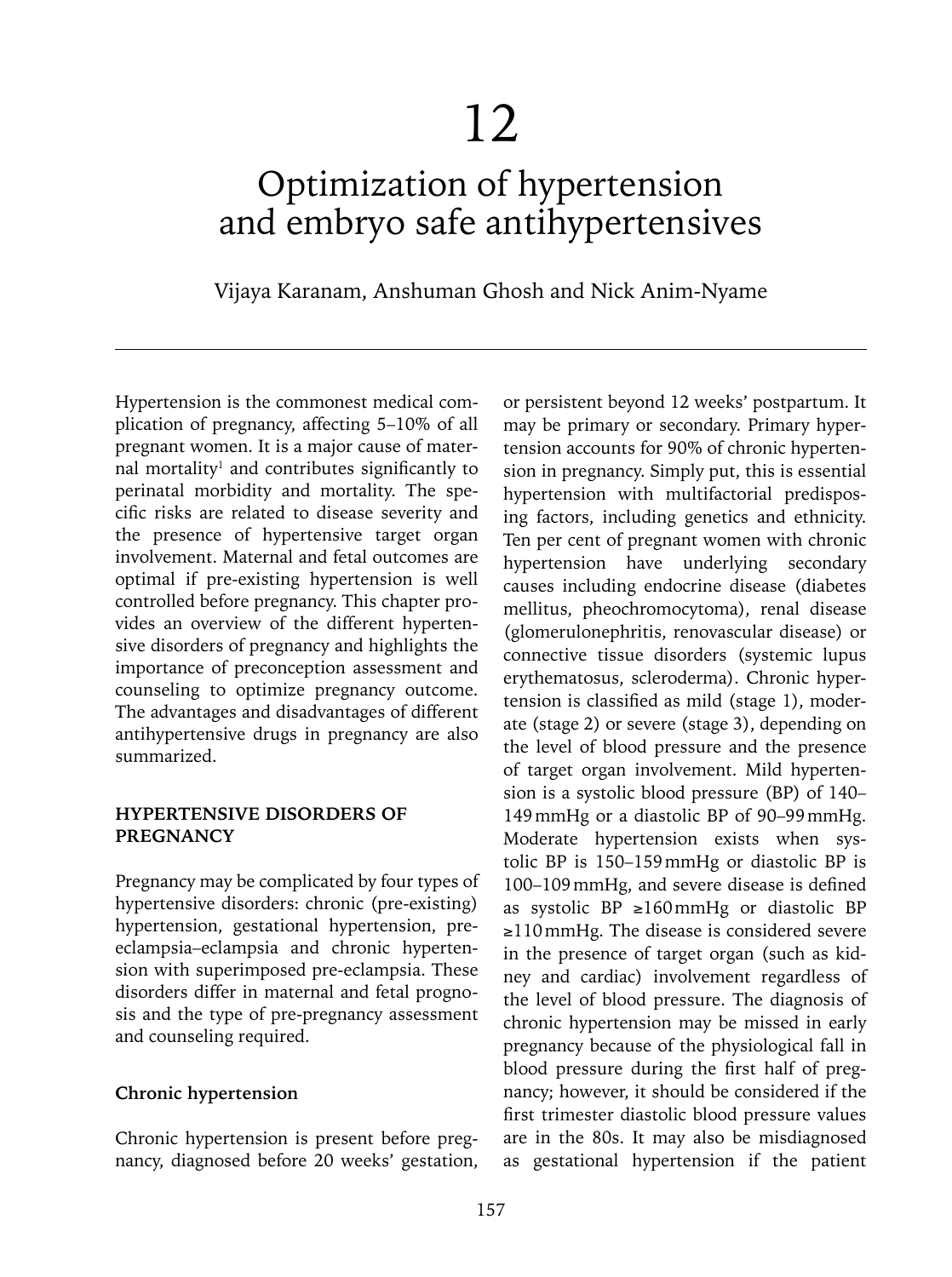# Optimization of hypertension and embryo safe antihypertensives

Vijaya Karanam, Anshuman Ghosh and Nick Anim-Nyame

Hypertension is the commonest medical complication of pregnancy, affecting 5–10% of all pregnant women. It is a major cause of maternal mortality<sup>1</sup> and contributes significantly to perinatal morbidity and mortality. The specific risks are related to disease severity and the presence of hypertensive target organ involvement. Maternal and fetal outcomes are optimal if pre-existing hypertension is well controlled before pregnancy. This chapter provides an overview of the different hypertensive disorders of pregnancy and highlights the importance of preconception assessment and counseling to optimize pregnancy outcome. The advantages and disadvantages of different antihypertensive drugs in pregnancy are also summarized.

## **HYPERTENSIVE DISORDERS OF PREGNANCY**

Pregnancy may be complicated by four types of hypertensive disorders: chronic (pre-existing) hypertension, gestational hypertension, preeclampsia–eclampsia and chronic hypertension with superimposed pre-eclampsia. These disorders differ in maternal and fetal prognosis and the type of pre-pregnancy assessment and counseling required.

## **Chronic hypertension**

Chronic hypertension is present before pregnancy, diagnosed before 20 weeks' gestation,

or persistent beyond 12 weeks' postpartum. It may be primary or secondary. Primary hypertension accounts for 90% of chronic hypertension in pregnancy. Simply put, this is essential hypertension with multifactorial predisposing factors, including genetics and ethnicity. Ten per cent of pregnant women with chronic hypertension have underlying secondary causes including endocrine disease (diabetes mellitus, pheochromocytoma), renal disease (glomerulonephritis, renovascular disease) or connective tissue disorders (systemic lupus erythematosus, scleroderma). Chronic hypertension is classified as mild (stage 1), moderate (stage 2) or severe (stage 3), depending on the level of blood pressure and the presence of target organ involvement. Mild hypertension is a systolic blood pressure (BP) of 140– 149mmHg or a diastolic BP of 90–99mmHg. Moderate hypertension exists when systolic BP is 150–159mmHg or diastolic BP is 100–109mmHg, and severe disease is defined as systolic BP ≥160mmHg or diastolic BP ≥110mmHg. The disease is considered severe in the presence of target organ (such as kidney and cardiac) involvement regardless of the level of blood pressure. The diagnosis of chronic hypertension may be missed in early pregnancy because of the physiological fall in blood pressure during the first half of pregnancy; however, it should be considered if the first trimester diastolic blood pressure values are in the 80s. It may also be misdiagnosed as gestational hypertension if the patient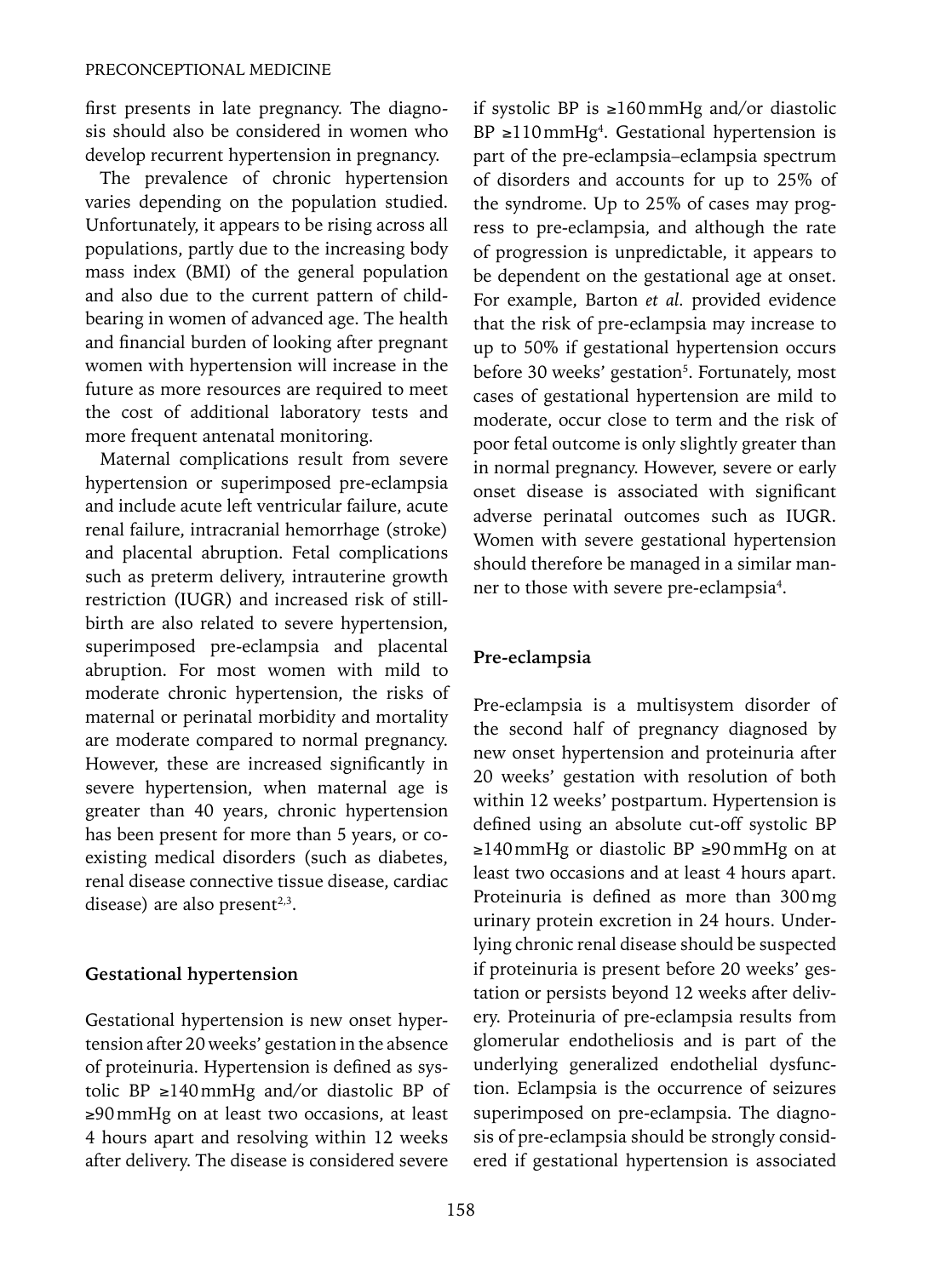first presents in late pregnancy. The diagnosis should also be considered in women who develop recurrent hypertension in pregnancy.

The prevalence of chronic hypertension varies depending on the population studied. Unfortunately, it appears to be rising across all populations, partly due to the increasing body mass index (BMI) of the general population and also due to the current pattern of childbearing in women of advanced age. The health and financial burden of looking after pregnant women with hypertension will increase in the future as more resources are required to meet the cost of additional laboratory tests and more frequent antenatal monitoring.

Maternal complications result from severe hypertension or superimposed pre-eclampsia and include acute left ventricular failure, acute renal failure, intracranial hemorrhage (stroke) and placental abruption. Fetal complications such as preterm delivery, intrauterine growth restriction (IUGR) and increased risk of stillbirth are also related to severe hypertension, superimposed pre-eclampsia and placental abruption. For most women with mild to moderate chronic hypertension, the risks of maternal or perinatal morbidity and mortality are moderate compared to normal pregnancy. However, these are increased significantly in severe hypertension, when maternal age is greater than 40 years, chronic hypertension has been present for more than 5 years, or coexisting medical disorders (such as diabetes, renal disease connective tissue disease, cardiac disease) are also present $2,3$ .

## **Gestational hypertension**

Gestational hypertension is new onset hypertension after 20 weeks' gestation in the absence of proteinuria. Hypertension is defined as systolic BP ≥140mmHg and/or diastolic BP of ≥90mmHg on at least two occasions, at least 4 hours apart and resolving within 12 weeks after delivery. The disease is considered severe if systolic BP is ≥160mmHg and/or diastolic  $BP \geq 110 \text{mmHg}^4$ . Gestational hypertension is part of the pre-eclampsia–eclampsia spectrum of disorders and accounts for up to 25% of the syndrome. Up to 25% of cases may progress to pre-eclampsia, and although the rate of progression is unpredictable, it appears to be dependent on the gestational age at onset. For example, Barton *et al.* provided evidence that the risk of pre-eclampsia may increase to up to 50% if gestational hypertension occurs before 30 weeks' gestation<sup>5</sup>. Fortunately, most cases of gestational hypertension are mild to moderate, occur close to term and the risk of poor fetal outcome is only slightly greater than in normal pregnancy. However, severe or early onset disease is associated with significant adverse perinatal outcomes such as IUGR. Women with severe gestational hypertension should therefore be managed in a similar manner to those with severe pre-eclampsia<sup>4</sup>.

## **Pre-eclampsia**

Pre-eclampsia is a multisystem disorder of the second half of pregnancy diagnosed by new onset hypertension and proteinuria after 20 weeks' gestation with resolution of both within 12 weeks' postpartum. Hypertension is defined using an absolute cut-off systolic BP ≥140mmHg or diastolic BP ≥90mmHg on at least two occasions and at least 4 hours apart. Proteinuria is defined as more than 300mg urinary protein excretion in 24 hours. Underlying chronic renal disease should be suspected if proteinuria is present before 20 weeks' gestation or persists beyond 12 weeks after delivery. Proteinuria of pre-eclampsia results from glomerular endotheliosis and is part of the underlying generalized endothelial dysfunction. Eclampsia is the occurrence of seizures superimposed on pre-eclampsia. The diagnosis of pre-eclampsia should be strongly considered if gestational hypertension is associated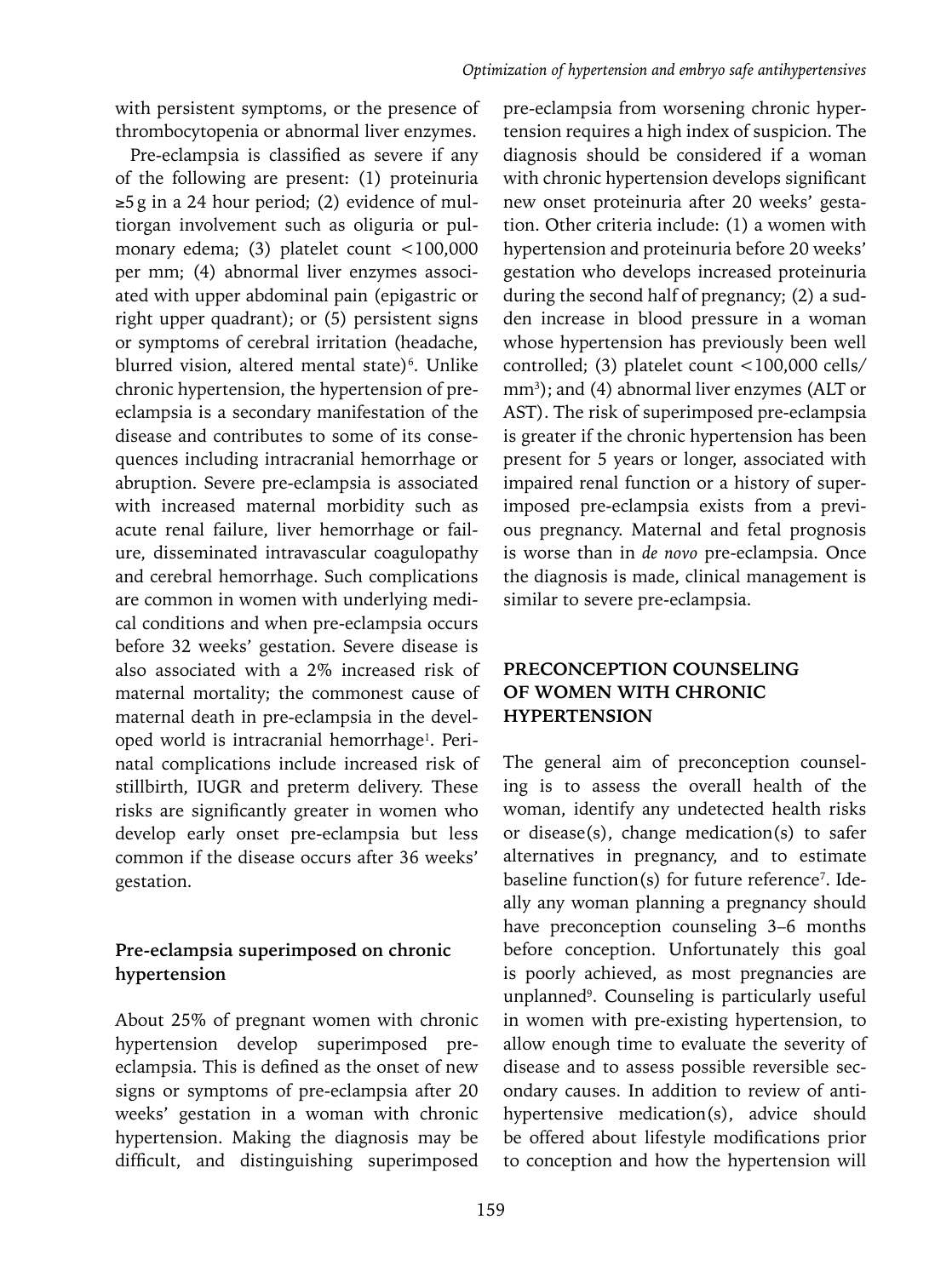with persistent symptoms, or the presence of thrombocytopenia or abnormal liver enzymes.

Pre-eclampsia is classified as severe if any of the following are present: (1) proteinuria ≥5g in a 24 hour period; (2) evidence of multiorgan involvement such as oliguria or pulmonary edema; (3) platelet count <100,000 per mm; (4) abnormal liver enzymes associated with upper abdominal pain (epigastric or right upper quadrant); or (5) persistent signs or symptoms of cerebral irritation (headache, blurred vision, altered mental state)<sup>6</sup>. Unlike chronic hypertension, the hypertension of preeclampsia is a secondary manifestation of the disease and contributes to some of its consequences including intracranial hemorrhage or abruption. Severe pre-eclampsia is associated with increased maternal morbidity such as acute renal failure, liver hemorrhage or failure, disseminated intravascular coagulopathy and cerebral hemorrhage. Such complications are common in women with underlying medical conditions and when pre-eclampsia occurs before 32 weeks' gestation. Severe disease is also associated with a 2% increased risk of maternal mortality; the commonest cause of maternal death in pre-eclampsia in the developed world is intracranial hemorrhage<sup>1</sup>. Perinatal complications include increased risk of stillbirth, IUGR and preterm delivery. These risks are significantly greater in women who develop early onset pre-eclampsia but less common if the disease occurs after 36 weeks' gestation.

# **Pre-eclampsia superimposed on chronic hypertension**

About 25% of pregnant women with chronic hypertension develop superimposed preeclampsia. This is defined as the onset of new signs or symptoms of pre-eclampsia after 20 weeks' gestation in a woman with chronic hypertension. Making the diagnosis may be difficult, and distinguishing superimposed

pre-eclampsia from worsening chronic hypertension requires a high index of suspicion. The diagnosis should be considered if a woman with chronic hypertension develops significant new onset proteinuria after 20 weeks' gestation. Other criteria include: (1) a women with hypertension and proteinuria before 20 weeks' gestation who develops increased proteinuria during the second half of pregnancy; (2) a sudden increase in blood pressure in a woman whose hypertension has previously been well controlled; (3) platelet count <100,000 cells/ mm<sup>3</sup>); and (4) abnormal liver enzymes (ALT or AST). The risk of superimposed pre-eclampsia is greater if the chronic hypertension has been present for 5 years or longer, associated with impaired renal function or a history of superimposed pre-eclampsia exists from a previous pregnancy. Maternal and fetal prognosis is worse than in *de novo* pre-eclampsia. Once the diagnosis is made, clinical management is similar to severe pre-eclampsia.

# **PRECONCEPTION COUNSELING OF WOMEN WITH CHRONIC HYPERTENSION**

The general aim of preconception counseling is to assess the overall health of the woman, identify any undetected health risks or disease(s), change medication(s) to safer alternatives in pregnancy, and to estimate baseline function(s) for future reference<sup>7</sup>. Ideally any woman planning a pregnancy should have preconception counseling 3–6 months before conception. Unfortunately this goal is poorly achieved, as most pregnancies are unplanned9 . Counseling is particularly useful in women with pre-existing hypertension, to allow enough time to evaluate the severity of disease and to assess possible reversible secondary causes. In addition to review of antihypertensive medication(s), advice should be offered about lifestyle modifications prior to conception and how the hypertension will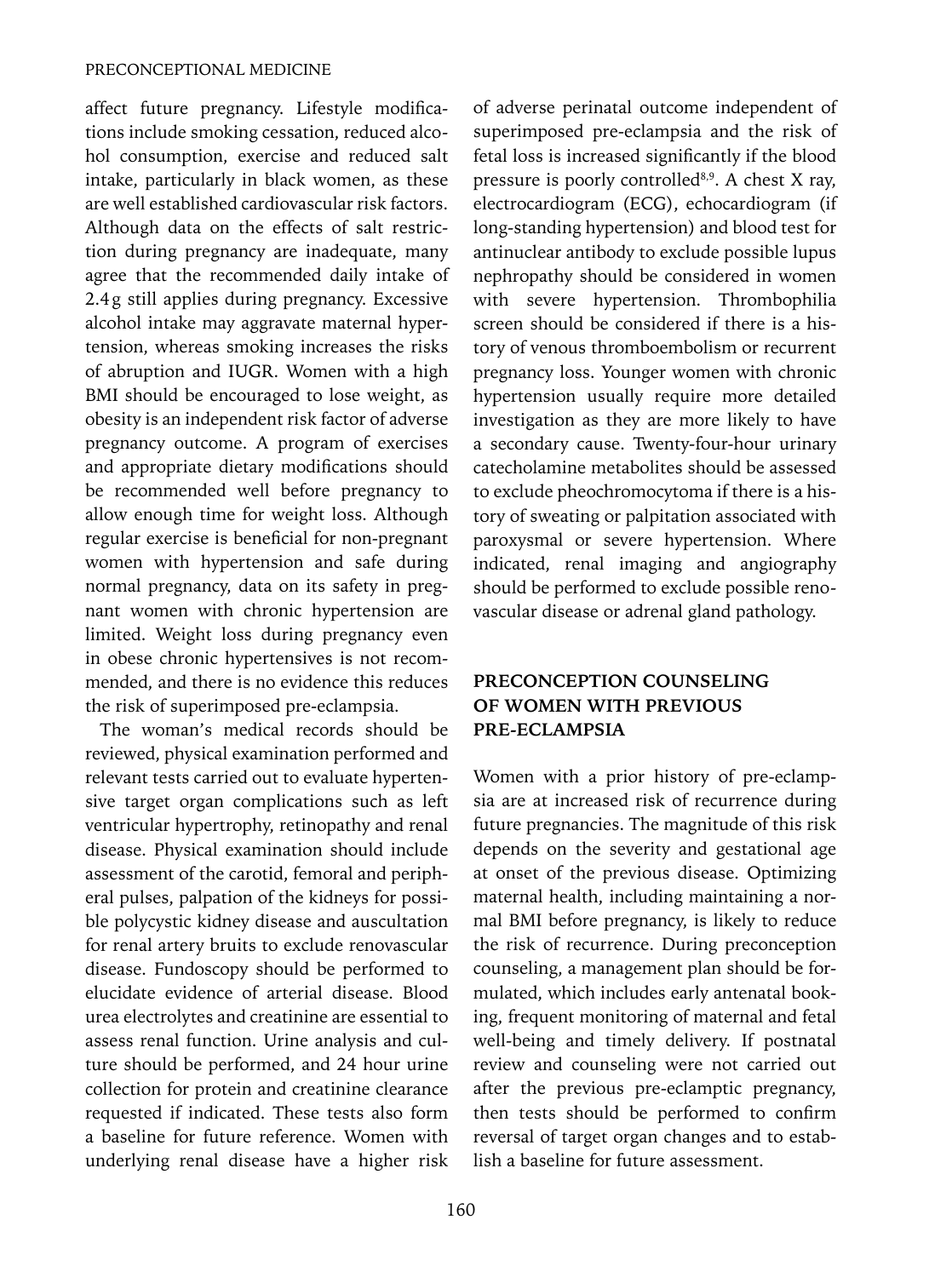affect future pregnancy. Lifestyle modifications include smoking cessation, reduced alcohol consumption, exercise and reduced salt intake, particularly in black women, as these are well established cardiovascular risk factors. Although data on the effects of salt restriction during pregnancy are inadequate, many agree that the recommended daily intake of 2.4g still applies during pregnancy. Excessive alcohol intake may aggravate maternal hypertension, whereas smoking increases the risks of abruption and IUGR. Women with a high BMI should be encouraged to lose weight, as obesity is an independent risk factor of adverse pregnancy outcome. A program of exercises and appropriate dietary modifications should be recommended well before pregnancy to allow enough time for weight loss. Although regular exercise is beneficial for non-pregnant women with hypertension and safe during normal pregnancy, data on its safety in pregnant women with chronic hypertension are limited. Weight loss during pregnancy even in obese chronic hypertensives is not recommended, and there is no evidence this reduces the risk of superimposed pre-eclampsia.

The woman's medical records should be reviewed, physical examination performed and relevant tests carried out to evaluate hypertensive target organ complications such as left ventricular hypertrophy, retinopathy and renal disease. Physical examination should include assessment of the carotid, femoral and peripheral pulses, palpation of the kidneys for possible polycystic kidney disease and auscultation for renal artery bruits to exclude renovascular disease. Fundoscopy should be performed to elucidate evidence of arterial disease. Blood urea electrolytes and creatinine are essential to assess renal function. Urine analysis and culture should be performed, and 24 hour urine collection for protein and creatinine clearance requested if indicated. These tests also form a baseline for future reference. Women with underlying renal disease have a higher risk of adverse perinatal outcome independent of superimposed pre-eclampsia and the risk of fetal loss is increased significantly if the blood pressure is poorly controlled<sup>8,9</sup>. A chest X ray, electrocardiogram (ECG), echocardiogram (if long-standing hypertension) and blood test for antinuclear antibody to exclude possible lupus nephropathy should be considered in women with severe hypertension. Thrombophilia screen should be considered if there is a history of venous thromboembolism or recurrent pregnancy loss. Younger women with chronic hypertension usually require more detailed investigation as they are more likely to have a secondary cause. Twenty-four-hour urinary catecholamine metabolites should be assessed to exclude pheochromocytoma if there is a history of sweating or palpitation associated with paroxysmal or severe hypertension. Where indicated, renal imaging and angiography should be performed to exclude possible renovascular disease or adrenal gland pathology.

## **PRECONCEPTION COUNSELING OF WOMEN WITH PREVIOUS PRE-ECLAMPSIA**

Women with a prior history of pre-eclampsia are at increased risk of recurrence during future pregnancies. The magnitude of this risk depends on the severity and gestational age at onset of the previous disease. Optimizing maternal health, including maintaining a normal BMI before pregnancy, is likely to reduce the risk of recurrence. During preconception counseling, a management plan should be formulated, which includes early antenatal booking, frequent monitoring of maternal and fetal well-being and timely delivery. If postnatal review and counseling were not carried out after the previous pre-eclamptic pregnancy, then tests should be performed to confirm reversal of target organ changes and to establish a baseline for future assessment.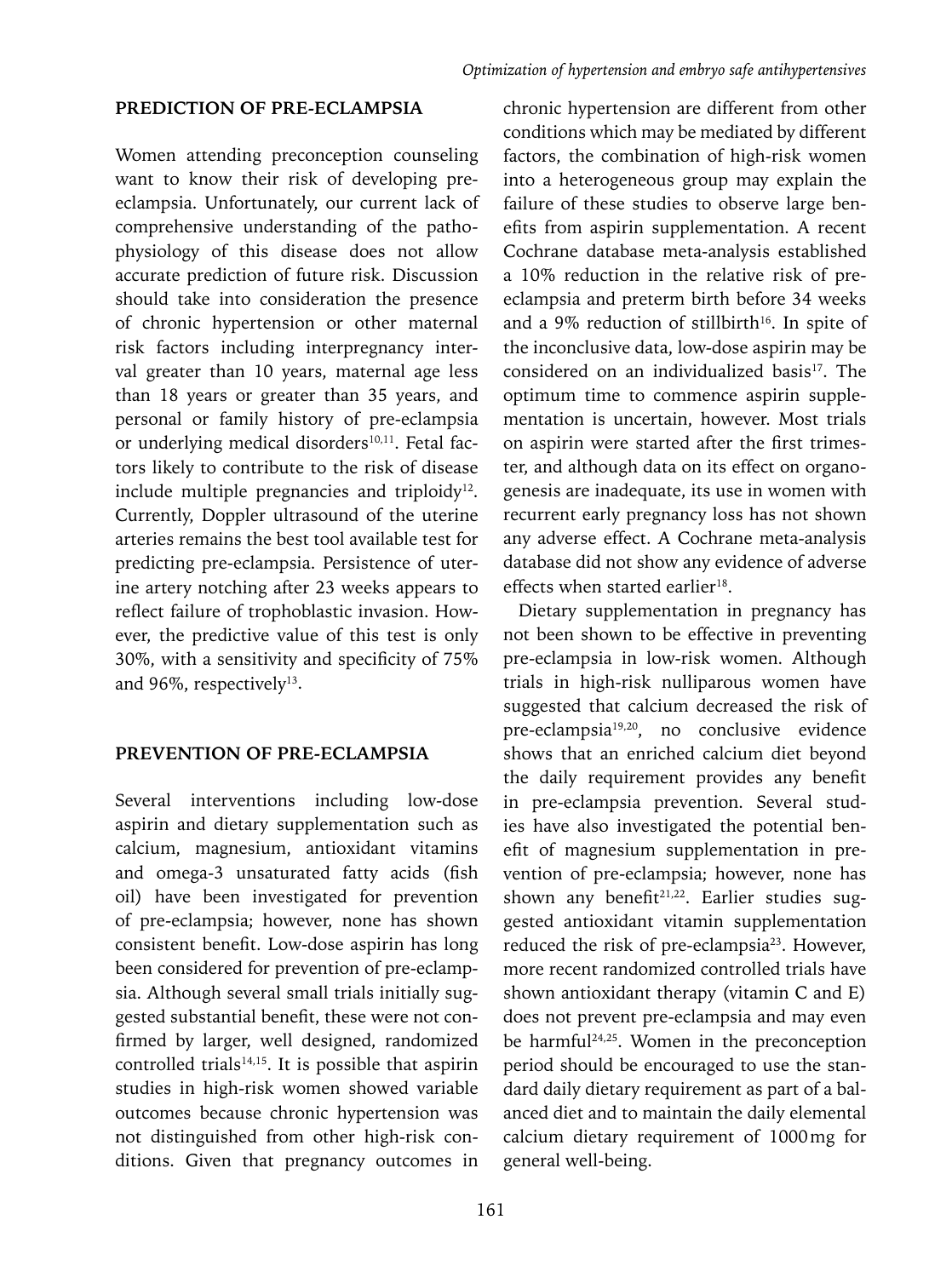## **PREDICTION OF PRE-ECLAMPSIA**

Women attending preconception counseling want to know their risk of developing preeclampsia. Unfortunately, our current lack of comprehensive understanding of the pathophysiology of this disease does not allow accurate prediction of future risk. Discussion should take into consideration the presence of chronic hypertension or other maternal risk factors including interpregnancy interval greater than 10 years, maternal age less than 18 years or greater than 35 years, and personal or family history of pre-eclampsia or underlying medical disorders<sup>10,11</sup>. Fetal factors likely to contribute to the risk of disease include multiple pregnancies and triploidy<sup>12</sup>. Currently, Doppler ultrasound of the uterine arteries remains the best tool available test for predicting pre-eclampsia. Persistence of uterine artery notching after 23 weeks appears to reflect failure of trophoblastic invasion. However, the predictive value of this test is only 30%, with a sensitivity and specificity of 75% and 96%, respectively<sup>13</sup>.

## **PREVENTION OF PRE-ECLAMPSIA**

Several interventions including low-dose aspirin and dietary supplementation such as calcium, magnesium, antioxidant vitamins and omega-3 unsaturated fatty acids (fish oil) have been investigated for prevention of pre-eclampsia; however, none has shown consistent benefit. Low-dose aspirin has long been considered for prevention of pre-eclampsia. Although several small trials initially suggested substantial benefit, these were not confirmed by larger, well designed, randomized controlled trials $14,15$ . It is possible that aspirin studies in high-risk women showed variable outcomes because chronic hypertension was not distinguished from other high-risk conditions. Given that pregnancy outcomes in chronic hypertension are different from other conditions which may be mediated by different factors, the combination of high-risk women into a heterogeneous group may explain the failure of these studies to observe large benefits from aspirin supplementation. A recent Cochrane database meta-analysis established a 10% reduction in the relative risk of preeclampsia and preterm birth before 34 weeks and a 9% reduction of stillbirth<sup>16</sup>. In spite of the inconclusive data, low-dose aspirin may be considered on an individualized basis<sup>17</sup>. The optimum time to commence aspirin supplementation is uncertain, however. Most trials on aspirin were started after the first trimester, and although data on its effect on organogenesis are inadequate, its use in women with recurrent early pregnancy loss has not shown any adverse effect. A Cochrane meta-analysis database did not show any evidence of adverse effects when started earlier<sup>18</sup>.

Dietary supplementation in pregnancy has not been shown to be effective in preventing pre-eclampsia in low-risk women. Although trials in high-risk nulliparous women have suggested that calcium decreased the risk of pre-eclampsia19,20, no conclusive evidence shows that an enriched calcium diet beyond the daily requirement provides any benefit in pre-eclampsia prevention. Several studies have also investigated the potential benefit of magnesium supplementation in prevention of pre-eclampsia; however, none has shown any benefit<sup>21,22</sup>. Earlier studies suggested antioxidant vitamin supplementation reduced the risk of pre-eclampsia<sup>23</sup>. However, more recent randomized controlled trials have shown antioxidant therapy (vitamin C and E) does not prevent pre-eclampsia and may even be harmful<sup>24,25</sup>. Women in the preconception period should be encouraged to use the standard daily dietary requirement as part of a balanced diet and to maintain the daily elemental calcium dietary requirement of 1000mg for general well-being.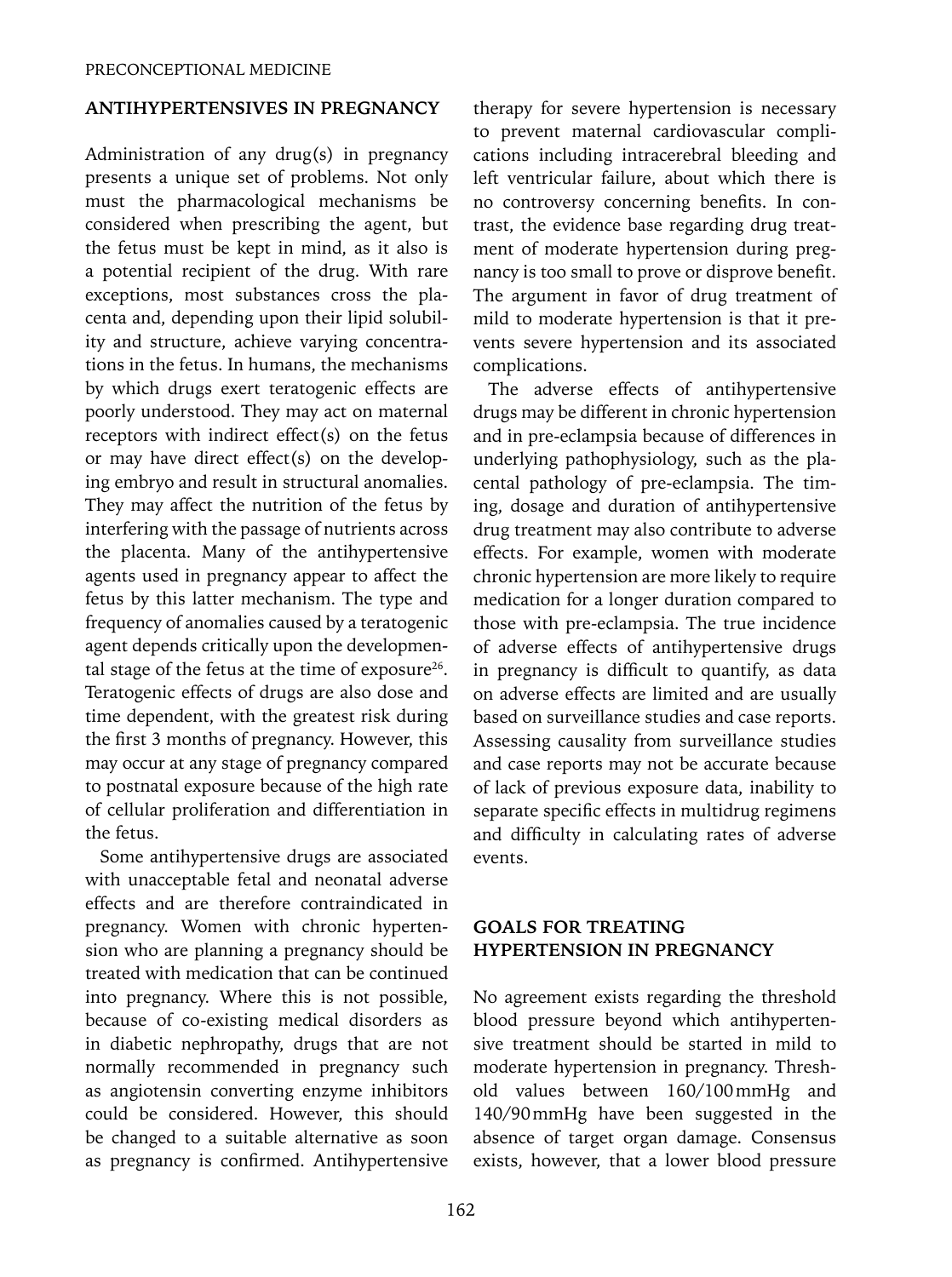#### **ANTIHYPERTENSIVES IN PREGNANCY**

Administration of any drug(s) in pregnancy presents a unique set of problems. Not only must the pharmacological mechanisms be considered when prescribing the agent, but the fetus must be kept in mind, as it also is a potential recipient of the drug. With rare exceptions, most substances cross the placenta and, depending upon their lipid solubility and structure, achieve varying concentrations in the fetus. In humans, the mechanisms by which drugs exert teratogenic effects are poorly understood. They may act on maternal receptors with indirect effect(s) on the fetus or may have direct effect(s) on the developing embryo and result in structural anomalies. They may affect the nutrition of the fetus by interfering with the passage of nutrients across the placenta. Many of the antihypertensive agents used in pregnancy appear to affect the fetus by this latter mechanism. The type and frequency of anomalies caused by a teratogenic agent depends critically upon the developmental stage of the fetus at the time of exposure $26$ . Teratogenic effects of drugs are also dose and time dependent, with the greatest risk during the first 3 months of pregnancy. However, this may occur at any stage of pregnancy compared to postnatal exposure because of the high rate of cellular proliferation and differentiation in the fetus.

Some antihypertensive drugs are associated with unacceptable fetal and neonatal adverse effects and are therefore contraindicated in pregnancy. Women with chronic hypertension who are planning a pregnancy should be treated with medication that can be continued into pregnancy. Where this is not possible, because of co-existing medical disorders as in diabetic nephropathy, drugs that are not normally recommended in pregnancy such as angiotensin converting enzyme inhibitors could be considered. However, this should be changed to a suitable alternative as soon as pregnancy is confirmed. Antihypertensive therapy for severe hypertension is necessary to prevent maternal cardiovascular complications including intracerebral bleeding and left ventricular failure, about which there is no controversy concerning benefits. In contrast, the evidence base regarding drug treatment of moderate hypertension during pregnancy is too small to prove or disprove benefit. The argument in favor of drug treatment of mild to moderate hypertension is that it prevents severe hypertension and its associated complications.

The adverse effects of antihypertensive drugs may be different in chronic hypertension and in pre-eclampsia because of differences in underlying pathophysiology, such as the placental pathology of pre-eclampsia. The timing, dosage and duration of antihypertensive drug treatment may also contribute to adverse effects. For example, women with moderate chronic hypertension are more likely to require medication for a longer duration compared to those with pre-eclampsia. The true incidence of adverse effects of antihypertensive drugs in pregnancy is difficult to quantify, as data on adverse effects are limited and are usually based on surveillance studies and case reports. Assessing causality from surveillance studies and case reports may not be accurate because of lack of previous exposure data, inability to separate specific effects in multidrug regimens and difficulty in calculating rates of adverse events.

## **GOALS FOR TREATING HYPERTENSION IN PREGNANCY**

No agreement exists regarding the threshold blood pressure beyond which antihypertensive treatment should be started in mild to moderate hypertension in pregnancy. Threshold values between 160/100mmHg and 140/90mmHg have been suggested in the absence of target organ damage. Consensus exists, however, that a lower blood pressure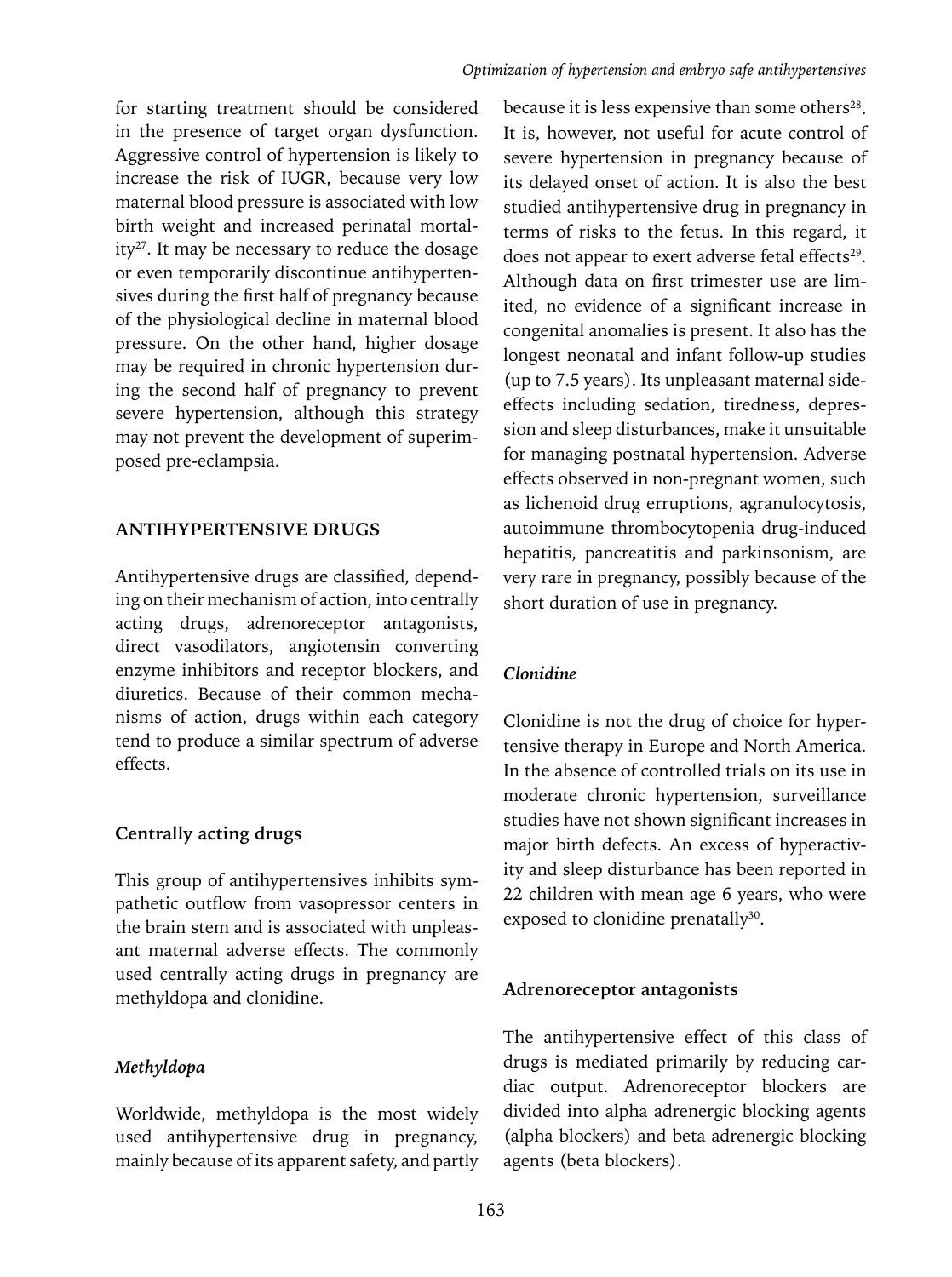for starting treatment should be considered in the presence of target organ dysfunction. Aggressive control of hypertension is likely to increase the risk of IUGR, because very low maternal blood pressure is associated with low birth weight and increased perinatal mortality<sup>27</sup>. It may be necessary to reduce the dosage or even temporarily discontinue antihypertensives during the first half of pregnancy because of the physiological decline in maternal blood pressure. On the other hand, higher dosage may be required in chronic hypertension during the second half of pregnancy to prevent severe hypertension, although this strategy may not prevent the development of superimposed pre-eclampsia.

## **ANTIHYPERTENSIVE DRUGS**

Antihypertensive drugs are classified, depending on their mechanism of action, into centrally acting drugs, adrenoreceptor antagonists, direct vasodilators, angiotensin converting enzyme inhibitors and receptor blockers, and diuretics. Because of their common mechanisms of action, drugs within each category tend to produce a similar spectrum of adverse effects.

# **Centrally acting drugs**

This group of antihypertensives inhibits sympathetic outflow from vasopressor centers in the brain stem and is associated with unpleasant maternal adverse effects. The commonly used centrally acting drugs in pregnancy are methyldopa and clonidine.

# *Methyldopa*

Worldwide, methyldopa is the most widely used antihypertensive drug in pregnancy, mainly because of its apparent safety, and partly

because it is less expensive than some others<sup>28</sup>. It is, however, not useful for acute control of severe hypertension in pregnancy because of its delayed onset of action. It is also the best studied antihypertensive drug in pregnancy in terms of risks to the fetus. In this regard, it does not appear to exert adverse fetal effects<sup>29</sup>. Although data on first trimester use are limited, no evidence of a significant increase in congenital anomalies is present. It also has the longest neonatal and infant follow-up studies (up to 7.5 years). Its unpleasant maternal sideeffects including sedation, tiredness, depression and sleep disturbances, make it unsuitable for managing postnatal hypertension. Adverse effects observed in non-pregnant women, such as lichenoid drug erruptions, agranulocytosis, autoimmune thrombocytopenia drug-induced hepatitis, pancreatitis and parkinsonism, are very rare in pregnancy, possibly because of the short duration of use in pregnancy.

# *Clonidine*

Clonidine is not the drug of choice for hypertensive therapy in Europe and North America. In the absence of controlled trials on its use in moderate chronic hypertension, surveillance studies have not shown significant increases in major birth defects. An excess of hyperactivity and sleep disturbance has been reported in 22 children with mean age 6 years, who were exposed to clonidine prenatally<sup>30</sup>.

# **Adrenoreceptor antagonists**

The antihypertensive effect of this class of drugs is mediated primarily by reducing cardiac output. Adrenoreceptor blockers are divided into alpha adrenergic blocking agents (alpha blockers) and beta adrenergic blocking agents (beta blockers).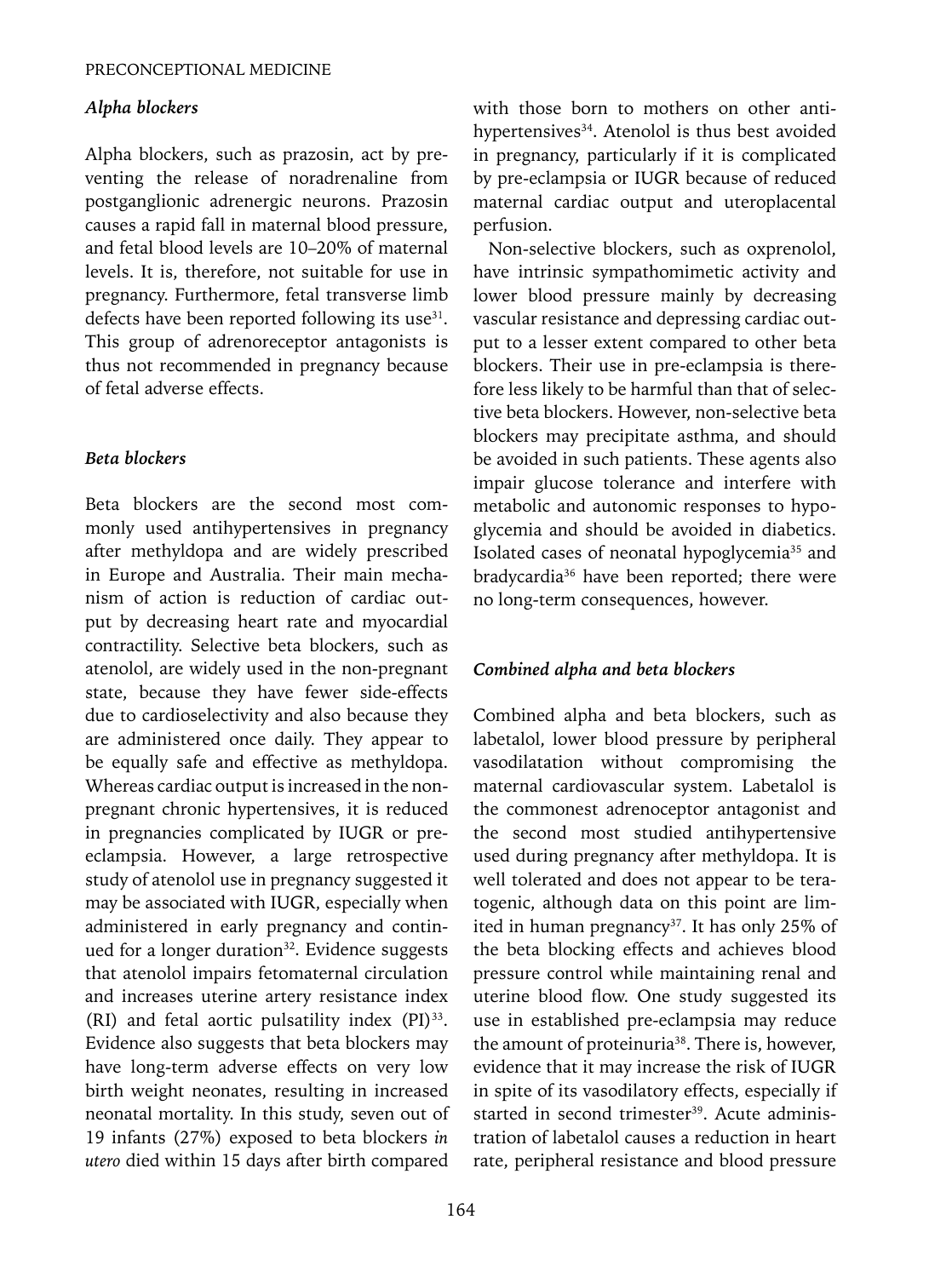## *Alpha blockers*

Alpha blockers, such as prazosin, act by preventing the release of noradrenaline from postganglionic adrenergic neurons. Prazosin causes a rapid fall in maternal blood pressure, and fetal blood levels are 10–20% of maternal levels. It is, therefore, not suitable for use in pregnancy. Furthermore, fetal transverse limb defects have been reported following its use<sup>31</sup>. This group of adrenoreceptor antagonists is thus not recommended in pregnancy because of fetal adverse effects.

## *Beta blockers*

Beta blockers are the second most commonly used antihypertensives in pregnancy after methyldopa and are widely prescribed in Europe and Australia. Their main mechanism of action is reduction of cardiac output by decreasing heart rate and myocardial contractility. Selective beta blockers, such as atenolol, are widely used in the non-pregnant state, because they have fewer side-effects due to cardioselectivity and also because they are administered once daily. They appear to be equally safe and effective as methyldopa. Whereas cardiac output is increased in the nonpregnant chronic hypertensives, it is reduced in pregnancies complicated by IUGR or preeclampsia. However, a large retrospective study of atenolol use in pregnancy suggested it may be associated with IUGR, especially when administered in early pregnancy and continued for a longer duration<sup>32</sup>. Evidence suggests that atenolol impairs fetomaternal circulation and increases uterine artery resistance index (RI) and fetal aortic pulsatility index (PI)33. Evidence also suggests that beta blockers may have long-term adverse effects on very low birth weight neonates, resulting in increased neonatal mortality. In this study, seven out of 19 infants (27%) exposed to beta blockers *in utero* died within 15 days after birth compared with those born to mothers on other antihypertensives<sup>34</sup>. Atenolol is thus best avoided in pregnancy, particularly if it is complicated by pre-eclampsia or IUGR because of reduced maternal cardiac output and uteroplacental perfusion.

Non-selective blockers, such as oxprenolol, have intrinsic sympathomimetic activity and lower blood pressure mainly by decreasing vascular resistance and depressing cardiac output to a lesser extent compared to other beta blockers. Their use in pre-eclampsia is therefore less likely to be harmful than that of selective beta blockers. However, non-selective beta blockers may precipitate asthma, and should be avoided in such patients. These agents also impair glucose tolerance and interfere with metabolic and autonomic responses to hypoglycemia and should be avoided in diabetics. Isolated cases of neonatal hypoglycemia<sup>35</sup> and bradycardia<sup>36</sup> have been reported; there were no long-term consequences, however.

## *Combined alpha and beta blockers*

Combined alpha and beta blockers, such as labetalol, lower blood pressure by peripheral vasodilatation without compromising the maternal cardiovascular system. Labetalol is the commonest adrenoceptor antagonist and the second most studied antihypertensive used during pregnancy after methyldopa. It is well tolerated and does not appear to be teratogenic, although data on this point are limited in human pregnancy<sup>37</sup>. It has only 25% of the beta blocking effects and achieves blood pressure control while maintaining renal and uterine blood flow. One study suggested its use in established pre-eclampsia may reduce the amount of proteinuria<sup>38</sup>. There is, however, evidence that it may increase the risk of IUGR in spite of its vasodilatory effects, especially if started in second trimester<sup>39</sup>. Acute administration of labetalol causes a reduction in heart rate, peripheral resistance and blood pressure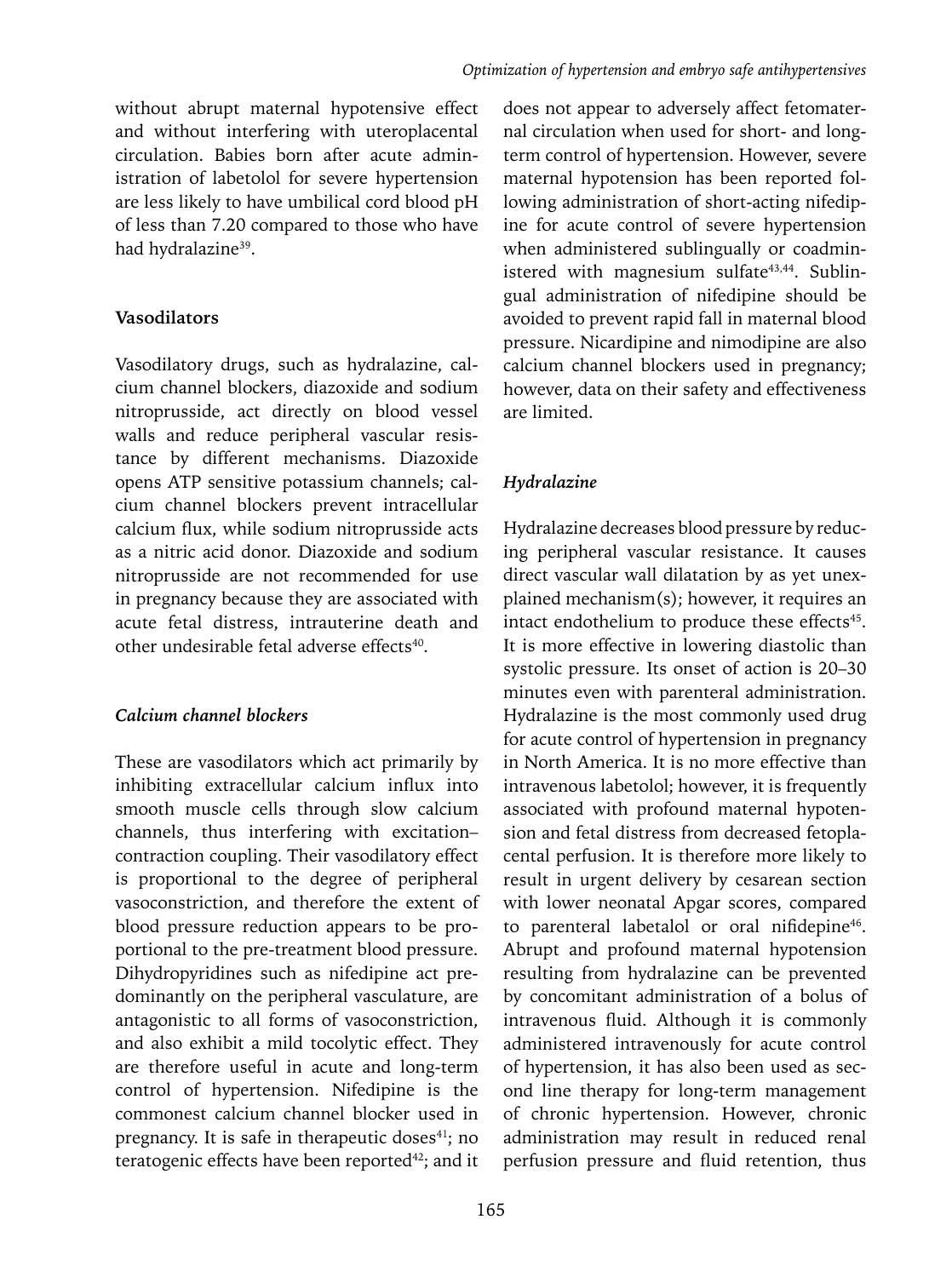without abrupt maternal hypotensive effect and without interfering with uteroplacental circulation. Babies born after acute administration of labetolol for severe hypertension are less likely to have umbilical cord blood pH of less than 7.20 compared to those who have had hydralazine<sup>39</sup>.

## **Vasodilators**

Vasodilatory drugs, such as hydralazine, calcium channel blockers, diazoxide and sodium nitroprusside, act directly on blood vessel walls and reduce peripheral vascular resistance by different mechanisms. Diazoxide opens ATP sensitive potassium channels; calcium channel blockers prevent intracellular calcium flux, while sodium nitroprusside acts as a nitric acid donor. Diazoxide and sodium nitroprusside are not recommended for use in pregnancy because they are associated with acute fetal distress, intrauterine death and other undesirable fetal adverse effects<sup>40</sup>.

# *Calcium channel blockers*

These are vasodilators which act primarily by inhibiting extracellular calcium influx into smooth muscle cells through slow calcium channels, thus interfering with excitation– contraction coupling. Their vasodilatory effect is proportional to the degree of peripheral vasoconstriction, and therefore the extent of blood pressure reduction appears to be proportional to the pre-treatment blood pressure. Dihydropyridines such as nifedipine act predominantly on the peripheral vasculature, are antagonistic to all forms of vasoconstriction, and also exhibit a mild tocolytic effect. They are therefore useful in acute and long-term control of hypertension. Nifedipine is the commonest calcium channel blocker used in pregnancy. It is safe in therapeutic doses<sup>41</sup>; no teratogenic effects have been reported<sup>42</sup>; and it

does not appear to adversely affect fetomaternal circulation when used for short- and longterm control of hypertension. However, severe maternal hypotension has been reported following administration of short-acting nifedipine for acute control of severe hypertension when administered sublingually or coadministered with magnesium sulfate<sup>43,44</sup>. Sublingual administration of nifedipine should be avoided to prevent rapid fall in maternal blood pressure. Nicardipine and nimodipine are also calcium channel blockers used in pregnancy; however, data on their safety and effectiveness are limited.

# *Hydralazine*

Hydralazine decreases blood pressure by reducing peripheral vascular resistance. It causes direct vascular wall dilatation by as yet unexplained mechanism(s); however, it requires an intact endothelium to produce these effects<sup>45</sup>. It is more effective in lowering diastolic than systolic pressure. Its onset of action is 20–30 minutes even with parenteral administration. Hydralazine is the most commonly used drug for acute control of hypertension in pregnancy in North America. It is no more effective than intravenous labetolol; however, it is frequently associated with profound maternal hypotension and fetal distress from decreased fetoplacental perfusion. It is therefore more likely to result in urgent delivery by cesarean section with lower neonatal Apgar scores, compared to parenteral labetalol or oral nifidepine<sup>46</sup>. Abrupt and profound maternal hypotension resulting from hydralazine can be prevented by concomitant administration of a bolus of intravenous fluid. Although it is commonly administered intravenously for acute control of hypertension, it has also been used as second line therapy for long-term management of chronic hypertension. However, chronic administration may result in reduced renal perfusion pressure and fluid retention, thus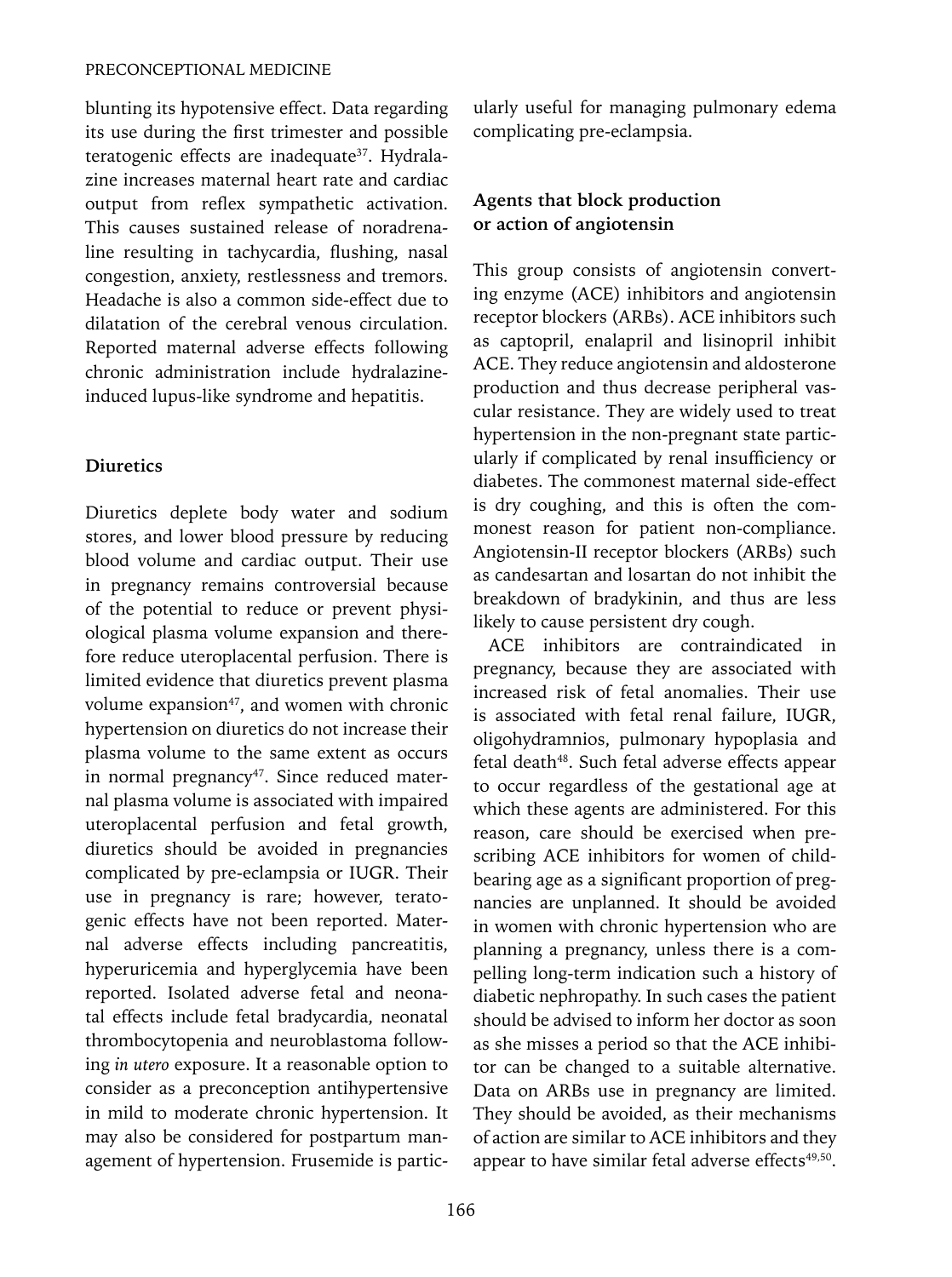blunting its hypotensive effect. Data regarding its use during the first trimester and possible teratogenic effects are inadequate<sup>37</sup>. Hydralazine increases maternal heart rate and cardiac output from reflex sympathetic activation. This causes sustained release of noradrenaline resulting in tachycardia, flushing, nasal congestion, anxiety, restlessness and tremors. Headache is also a common side-effect due to dilatation of the cerebral venous circulation. Reported maternal adverse effects following chronic administration include hydralazineinduced lupus-like syndrome and hepatitis.

# **Diuretics**

Diuretics deplete body water and sodium stores, and lower blood pressure by reducing blood volume and cardiac output. Their use in pregnancy remains controversial because of the potential to reduce or prevent physiological plasma volume expansion and therefore reduce uteroplacental perfusion. There is limited evidence that diuretics prevent plasma volume expansion $47$ , and women with chronic hypertension on diuretics do not increase their plasma volume to the same extent as occurs in normal pregnancy<sup>47</sup>. Since reduced maternal plasma volume is associated with impaired uteroplacental perfusion and fetal growth, diuretics should be avoided in pregnancies complicated by pre-eclampsia or IUGR. Their use in pregnancy is rare; however, teratogenic effects have not been reported. Maternal adverse effects including pancreatitis, hyperuricemia and hyperglycemia have been reported. Isolated adverse fetal and neonatal effects include fetal bradycardia, neonatal thrombocytopenia and neuroblastoma following *in utero* exposure. It a reasonable option to consider as a preconception antihypertensive in mild to moderate chronic hypertension. It may also be considered for postpartum management of hypertension. Frusemide is particularly useful for managing pulmonary edema complicating pre-eclampsia.

# **Agents that block production or action of angiotensin**

This group consists of angiotensin converting enzyme (ACE) inhibitors and angiotensin receptor blockers (ARBs). ACE inhibitors such as captopril, enalapril and lisinopril inhibit ACE. They reduce angiotensin and aldosterone production and thus decrease peripheral vascular resistance. They are widely used to treat hypertension in the non-pregnant state particularly if complicated by renal insufficiency or diabetes. The commonest maternal side-effect is dry coughing, and this is often the commonest reason for patient non-compliance. Angiotensin-II receptor blockers (ARBs) such as candesartan and losartan do not inhibit the breakdown of bradykinin, and thus are less likely to cause persistent dry cough.

ACE inhibitors are contraindicated in pregnancy, because they are associated with increased risk of fetal anomalies. Their use is associated with fetal renal failure, IUGR, oligohydramnios, pulmonary hypoplasia and fetal death<sup>48</sup>. Such fetal adverse effects appear to occur regardless of the gestational age at which these agents are administered. For this reason, care should be exercised when prescribing ACE inhibitors for women of childbearing age as a significant proportion of pregnancies are unplanned. It should be avoided in women with chronic hypertension who are planning a pregnancy, unless there is a compelling long-term indication such a history of diabetic nephropathy. In such cases the patient should be advised to inform her doctor as soon as she misses a period so that the ACE inhibitor can be changed to a suitable alternative. Data on ARBs use in pregnancy are limited. They should be avoided, as their mechanisms of action are similar to ACE inhibitors and they appear to have similar fetal adverse effects<sup>49,50</sup>.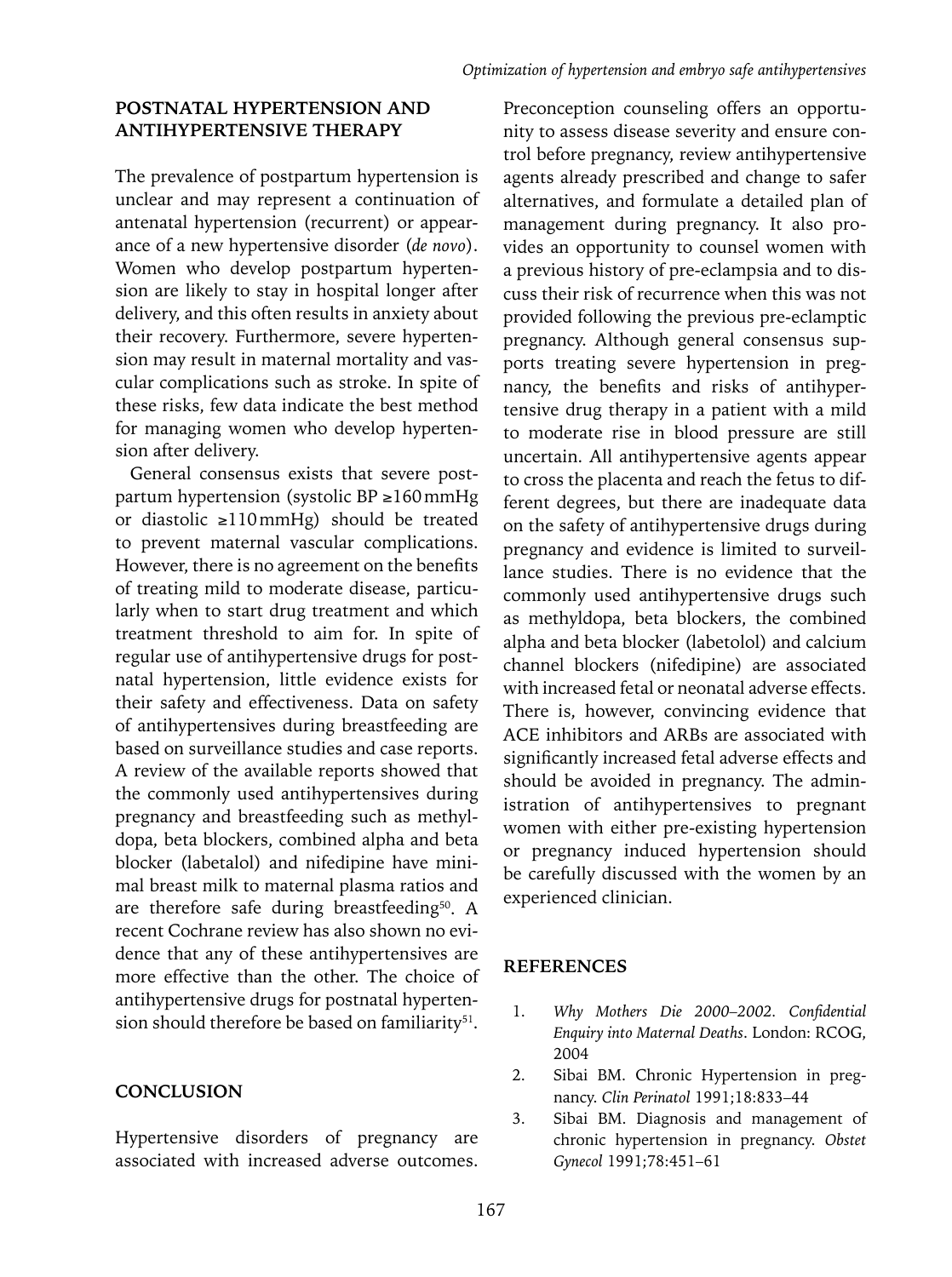## **POSTNATAL HYPERTENSION AND ANTIHYPERTENSIVE THERAPY**

The prevalence of postpartum hypertension is unclear and may represent a continuation of antenatal hypertension (recurrent) or appearance of a new hypertensive disorder (*de novo*). Women who develop postpartum hypertension are likely to stay in hospital longer after delivery, and this often results in anxiety about their recovery. Furthermore, severe hypertension may result in maternal mortality and vascular complications such as stroke. In spite of these risks, few data indicate the best method for managing women who develop hypertension after delivery.

General consensus exists that severe postpartum hypertension (systolic BP ≥160mmHg or diastolic ≥110mmHg) should be treated to prevent maternal vascular complications. However, there is no agreement on the benefits of treating mild to moderate disease, particularly when to start drug treatment and which treatment threshold to aim for. In spite of regular use of antihypertensive drugs for postnatal hypertension, little evidence exists for their safety and effectiveness. Data on safety of antihypertensives during breastfeeding are based on surveillance studies and case reports. A review of the available reports showed that the commonly used antihypertensives during pregnancy and breastfeeding such as methyldopa, beta blockers, combined alpha and beta blocker (labetalol) and nifedipine have minimal breast milk to maternal plasma ratios and are therefore safe during breastfeeding<sup>50</sup>. A recent Cochrane review has also shown no evidence that any of these antihypertensives are more effective than the other. The choice of antihypertensive drugs for postnatal hypertension should therefore be based on familiarity<sup>51</sup>.

#### **CONCLUSION**

Hypertensive disorders of pregnancy are associated with increased adverse outcomes.

Preconception counseling offers an opportunity to assess disease severity and ensure control before pregnancy, review antihypertensive agents already prescribed and change to safer alternatives, and formulate a detailed plan of management during pregnancy. It also provides an opportunity to counsel women with a previous history of pre-eclampsia and to discuss their risk of recurrence when this was not provided following the previous pre-eclamptic pregnancy. Although general consensus supports treating severe hypertension in pregnancy, the benefits and risks of antihypertensive drug therapy in a patient with a mild to moderate rise in blood pressure are still uncertain. All antihypertensive agents appear to cross the placenta and reach the fetus to different degrees, but there are inadequate data on the safety of antihypertensive drugs during pregnancy and evidence is limited to surveillance studies. There is no evidence that the commonly used antihypertensive drugs such as methyldopa, beta blockers, the combined alpha and beta blocker (labetolol) and calcium channel blockers (nifedipine) are associated with increased fetal or neonatal adverse effects. There is, however, convincing evidence that ACE inhibitors and ARBs are associated with significantly increased fetal adverse effects and should be avoided in pregnancy. The administration of antihypertensives to pregnant women with either pre-existing hypertension or pregnancy induced hypertension should be carefully discussed with the women by an experienced clinician.

#### **References**

- 1. *Why Mothers Die 2000–2002. Confidential Enquiry into Maternal Deaths*. London: RCOG, 2004
- 2. Sibai BM. Chronic Hypertension in pregnancy. *Clin Perinatol* 1991;18:833–44
- 3. Sibai BM. Diagnosis and management of chronic hypertension in pregnancy. *Obstet Gynecol* 1991;78:451–61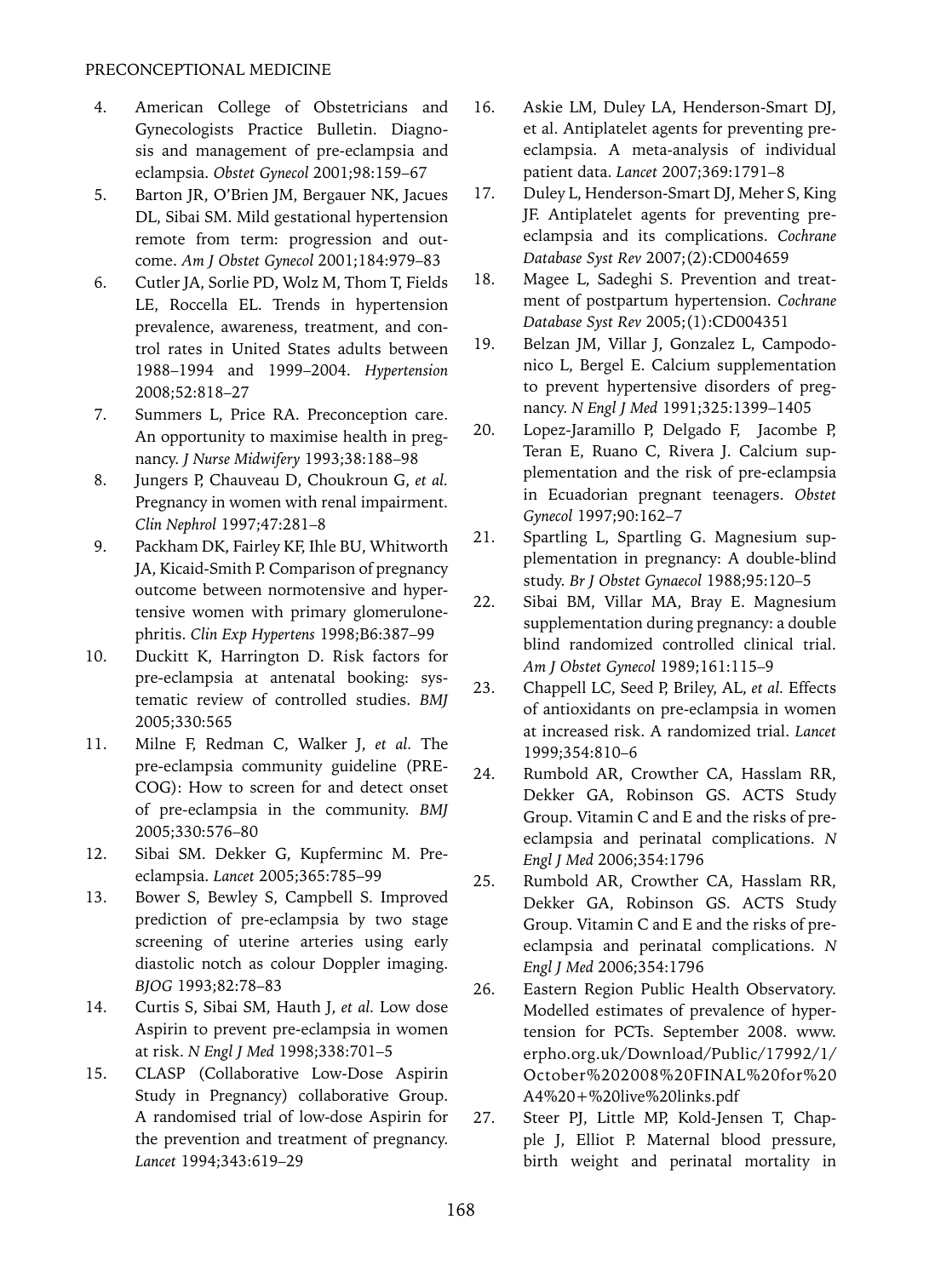- 4. American College of Obstetricians and Gynecologists Practice Bulletin. Diagnosis and management of pre-eclampsia and eclampsia. *Obstet Gynecol* 2001;98:159–67
- 5. Barton JR, O'Brien JM, Bergauer NK, Jacues DL, Sibai SM. Mild gestational hypertension remote from term: progression and outcome. *Am J Obstet Gynecol* 2001;184:979–83
- 6. Cutler JA, Sorlie PD, Wolz M, Thom T, Fields LE, Roccella EL. Trends in hypertension prevalence, awareness, treatment, and control rates in United States adults between 1988–1994 and 1999–2004. *Hypertension* 2008;52:818–27
- 7. Summers L, Price RA. Preconception care. An opportunity to maximise health in pregnancy. *J Nurse Midwifery* 1993;38:188–98
- 8. Jungers P, Chauveau D, Choukroun G, *et al.*  Pregnancy in women with renal impairment. *Clin Nephrol* 1997;47:281–8
- 9. Packham DK, Fairley KF, Ihle BU, Whitworth JA, Kicaid-Smith P. Comparison of pregnancy outcome between normotensive and hypertensive women with primary glomerulonephritis. *Clin Exp Hypertens* 1998;B6:387–99
- 10. Duckitt K, Harrington D. Risk factors for pre-eclampsia at antenatal booking: systematic review of controlled studies. *BMJ* 2005;330:565
- 11. Milne F, Redman C, Walker J, *et al.* The pre-eclampsia community guideline (PRE-COG): How to screen for and detect onset of pre-eclampsia in the community. *BMJ* 2005;330:576–80
- 12. Sibai SM. Dekker G, Kupferminc M. Preeclampsia. *Lancet* 2005;365:785–99
- 13. Bower S, Bewley S, Campbell S. Improved prediction of pre-eclampsia by two stage screening of uterine arteries using early diastolic notch as colour Doppler imaging. *BJOG* 1993;82:78–83
- 14. Curtis S, Sibai SM, Hauth J, *et al.* Low dose Aspirin to prevent pre-eclampsia in women at risk. *N Engl J Med* 1998;338:701–5
- 15. CLASP (Collaborative Low-Dose Aspirin Study in Pregnancy) collaborative Group. A randomised trial of low-dose Aspirin for the prevention and treatment of pregnancy. *Lancet* 1994;343:619–29
- 16. Askie LM, Duley LA, Henderson-Smart DJ, et al. Antiplatelet agents for preventing preeclampsia. A meta-analysis of individual patient data. *Lancet* 2007;369:1791–8
- 17. Duley L, Henderson-Smart DJ, Meher S, King JF. Antiplatelet agents for preventing preeclampsia and its complications. *Cochrane Database Syst Rev* 2007;(2):CD004659
- 18. Magee L, Sadeghi S. Prevention and treatment of postpartum hypertension. *Cochrane Database Syst Rev* 2005;(1):CD004351
- 19. Belzan JM, Villar J, Gonzalez L, Campodonico L, Bergel E. Calcium supplementation to prevent hypertensive disorders of pregnancy. *N Engl J Med* 1991;325:1399–1405
- 20. Lopez-Jaramillo P, Delgado F, Jacombe P, Teran E, Ruano C, Rivera J. Calcium supplementation and the risk of pre-eclampsia in Ecuadorian pregnant teenagers. *Obstet Gynecol* 1997;90:162–7
- 21. Spartling L, Spartling G. Magnesium supplementation in pregnancy: A double-blind study. *Br J Obstet Gynaecol* 1988;95:120–5
- 22. Sibai BM, Villar MA, Bray E. Magnesium supplementation during pregnancy: a double blind randomized controlled clinical trial. *Am J Obstet Gynecol* 1989;161:115–9
- 23. Chappell LC, Seed P, Briley, AL, *et al.* Effects of antioxidants on pre-eclampsia in women at increased risk. A randomized trial. *Lancet* 1999;354:810–6
- 24. Rumbold AR, Crowther CA, Hasslam RR, Dekker GA, Robinson GS. ACTS Study Group. Vitamin C and E and the risks of preeclampsia and perinatal complications. *N Engl J Med* 2006;354:1796
- 25. Rumbold AR, Crowther CA, Hasslam RR, Dekker GA, Robinson GS. ACTS Study Group. Vitamin C and E and the risks of preeclampsia and perinatal complications. *N Engl J Med* 2006;354:1796
- 26. Eastern Region Public Health Observatory. Modelled estimates of prevalence of hypertension for PCTs. September 2008. www. erpho.org.uk/Download/Public/17992/1/ October%202008%20FINAL%20for%20 A4%20+%20live%20links.pdf
- 27. Steer PJ, Little MP, Kold-Jensen T, Chapple J, Elliot P. Maternal blood pressure, birth weight and perinatal mortality in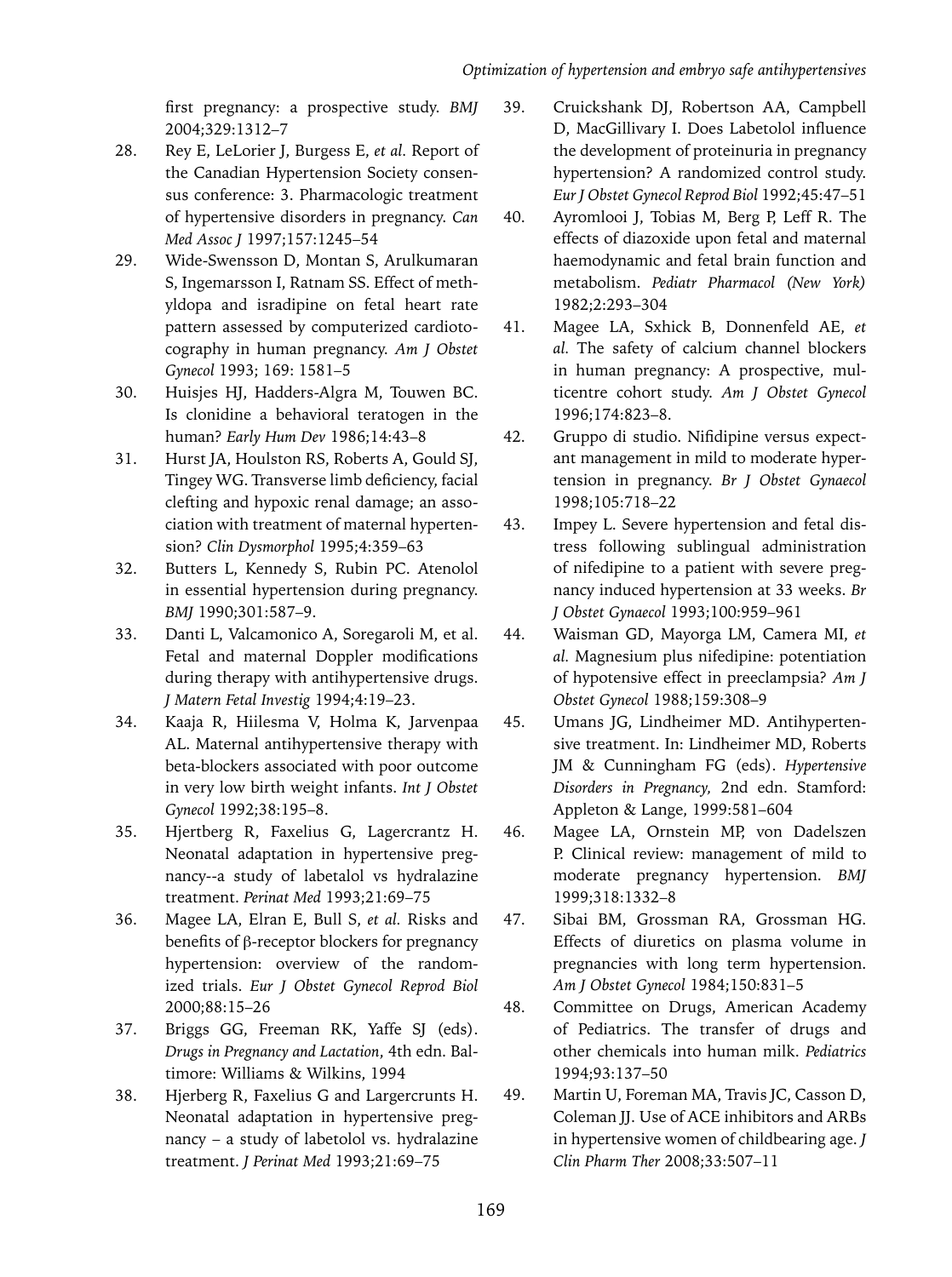first pregnancy: a prospective study. *BMJ* 2004;329:1312–7

- 28. Rey E, LeLorier J, Burgess E, *et al.* Report of the Canadian Hypertension Society consensus conference: 3. Pharmacologic treatment of hypertensive disorders in pregnancy. *Can Med Assoc J* 1997;157:1245–54
- 29. Wide-Swensson D, Montan S, Arulkumaran S, Ingemarsson I, Ratnam SS. Effect of methyldopa and isradipine on fetal heart rate pattern assessed by computerized cardiotocography in human pregnancy. *Am J Obstet Gynecol* 1993; 169: 1581–5
- 30. Huisjes HJ, Hadders-Algra M, Touwen BC. Is clonidine a behavioral teratogen in the human? *Early Hum Dev* 1986;14:43–8
- 31. Hurst JA, Houlston RS, Roberts A, Gould SJ, Tingey WG. Transverse limb deficiency, facial clefting and hypoxic renal damage; an association with treatment of maternal hypertension? *Clin Dysmorphol* 1995;4:359–63
- 32. Butters L, Kennedy S, Rubin PC. Atenolol in essential hypertension during pregnancy. *BMJ* 1990;301:587–9.
- 33. Danti L, Valcamonico A, Soregaroli M, et al. Fetal and maternal Doppler modifications during therapy with antihypertensive drugs. *J Matern Fetal Investig* 1994;4:19–23.
- 34. Kaaja R, Hiilesma V, Holma K, Jarvenpaa AL. Maternal antihypertensive therapy with beta-blockers associated with poor outcome in very low birth weight infants. *Int J Obstet Gynecol* 1992;38:195–8.
- 35. Hjertberg R, Faxelius G, Lagercrantz H. Neonatal adaptation in hypertensive pregnancy--a study of labetalol vs hydralazine treatment. *Perinat Med* 1993;21:69–75
- 36. Magee LA, Elran E, Bull S, *et al.* Risks and benefits of β-receptor blockers for pregnancy hypertension: overview of the randomized trials. *Eur J Obstet Gynecol Reprod Biol*  2000;88:15–26
- 37. Briggs GG, Freeman RK, Yaffe SJ (eds). *Drugs in Pregnancy and Lactation*, 4th edn. Baltimore: Williams & Wilkins, 1994
- 38. Hjerberg R, Faxelius G and Largercrunts H. Neonatal adaptation in hypertensive pregnancy – a study of labetolol vs. hydralazine treatment. *J Perinat Med* 1993;21:69–75
- 39. Cruickshank DJ, Robertson AA, Campbell D, MacGillivary I. Does Labetolol influence the development of proteinuria in pregnancy hypertension? A randomized control study. *Eur J Obstet Gynecol Reprod Biol* 1992;45:47–51
- 40. Ayromlooi J, Tobias M, Berg P, Leff R. The effects of diazoxide upon fetal and maternal haemodynamic and fetal brain function and metabolism. *Pediatr Pharmacol (New York)* 1982;2:293–304
- 41. Magee LA, Sxhick B, Donnenfeld AE, *et al.* The safety of calcium channel blockers in human pregnancy: A prospective, multicentre cohort study. *Am J Obstet Gynecol*  1996;174:823–8.
- 42. Gruppo di studio. Nifidipine versus expectant management in mild to moderate hypertension in pregnancy. *Br J Obstet Gynaecol*  1998;105:718–22
- 43. Impey L. Severe hypertension and fetal distress following sublingual administration of nifedipine to a patient with severe pregnancy induced hypertension at 33 weeks. *Br J Obstet Gynaecol* 1993;100:959–961
- 44. Waisman GD, Mayorga LM, Camera MI, *et al.* Magnesium plus nifedipine: potentiation of hypotensive effect in preeclampsia? *Am J Obstet Gynecol* 1988;159:308–9
- 45. Umans JG, Lindheimer MD. Antihypertensive treatment. In: Lindheimer MD, Roberts JM & Cunningham FG (eds). *Hypertensive Disorders in Pregnancy,* 2nd edn. Stamford: Appleton & Lange, 1999:581–604
- 46. Magee LA, Ornstein MP, von Dadelszen P. Clinical review: management of mild to moderate pregnancy hypertension. *BMJ* 1999;318:1332–8
- 47. Sibai BM, Grossman RA, Grossman HG. Effects of diuretics on plasma volume in pregnancies with long term hypertension. *Am J Obstet Gynecol* 1984;150:831–5
- 48. Committee on Drugs, American Academy of Pediatrics. The transfer of drugs and other chemicals into human milk. *Pediatrics* 1994;93:137–50
- 49. Martin U, Foreman MA, Travis JC, Casson D, Coleman JJ. Use of ACE inhibitors and ARBs in hypertensive women of childbearing age. *J Clin Pharm Ther* 2008;33:507–11